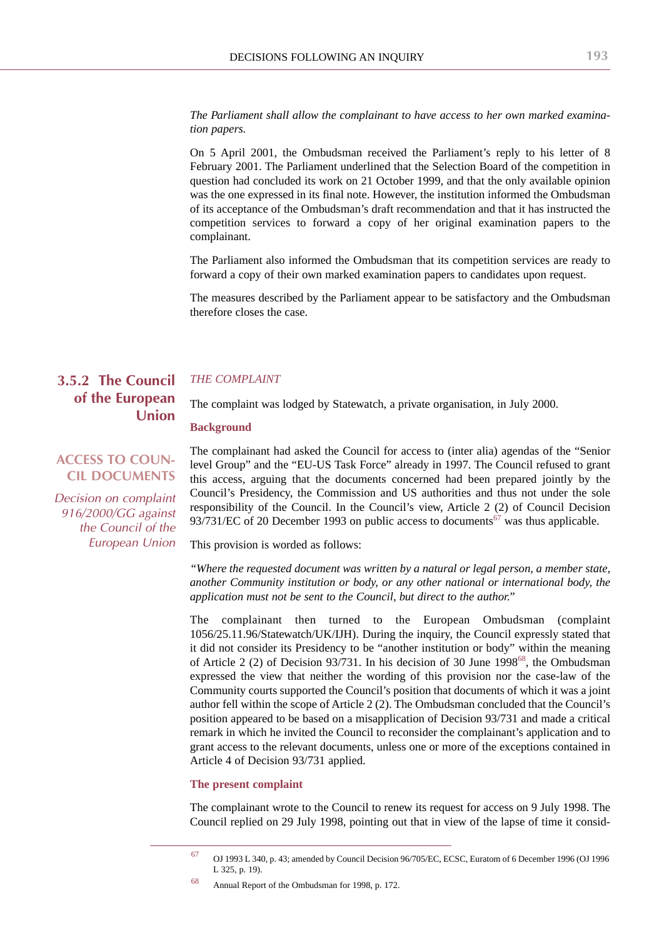*The Parliament shall allow the complainant to have access to her own marked examination papers.*

On 5 April 2001, the Ombudsman received the Parliament's reply to his letter of 8 February 2001. The Parliament underlined that the Selection Board of the competition in question had concluded its work on 21 October 1999, and that the only available opinion was the one expressed in its final note. However, the institution informed the Ombudsman of its acceptance of the Ombudsman's draft recommendation and that it has instructed the competition services to forward a copy of her original examination papers to the complainant.

The Parliament also informed the Ombudsman that its competition services are ready to forward a copy of their own marked examination papers to candidates upon request.

The measures described by the Parliament appear to be satisfactory and the Ombudsman therefore closes the case.

# **3.5.2 The Council of the European Union**

### *THE COMPLAINT*

The complaint was lodged by Statewatch, a private organisation, in July 2000.

#### **Background**

## **ACCESS TO COUN-CIL DOCUMENTS**

*Decision on complaint 916/2000/GG against the Council of the European Union*

The complainant had asked the Council for access to (inter alia) agendas of the "Senior level Group" and the "EU-US Task Force" already in 1997. The Council refused to grant this access, arguing that the documents concerned had been prepared jointly by the Council's Presidency, the Commission and US authorities and thus not under the sole responsibility of the Council. In the Council's view, Article 2 (2) of Council Decision 93/731/EC of 20 December 1993 on public access to documents<sup>67</sup> was thus applicable.

This provision is worded as follows:

*"Where the requested document was written by a natural or legal person, a member state, another Community institution or body, or any other national or international body, the application must not be sent to the Council, but direct to the author."*

The complainant then turned to the European Ombudsman (complaint 1056/25.11.96/Statewatch/UK/IJH). During the inquiry, the Council expressly stated that it did not consider its Presidency to be "another institution or body" within the meaning of Article 2 (2) of Decision 93/731. In his decision of 30 June  $1998<sup>68</sup>$ , the Ombudsman expressed the view that neither the wording of this provision nor the case-law of the Community courts supported the Council's position that documents of which it was a joint author fell within the scope of Article 2 (2). The Ombudsman concluded that the Council's position appeared to be based on a misapplication of Decision 93/731 and made a critical remark in which he invited the Council to reconsider the complainant's application and to grant access to the relevant documents, unless one or more of the exceptions contained in Article 4 of Decision 93/731 applied.

## **The present complaint**

The complainant wrote to the Council to renew its request for access on 9 July 1998. The Council replied on 29 July 1998, pointing out that in view of the lapse of time it consid-

<sup>67</sup> OJ 1993 L 340, p. 43; amended by Council Decision 96/705/EC, ECSC, Euratom of 6 December 1996 (OJ 1996 L 325, p. 19).

<sup>68</sup> Annual Report of the Ombudsman for 1998, p. 172.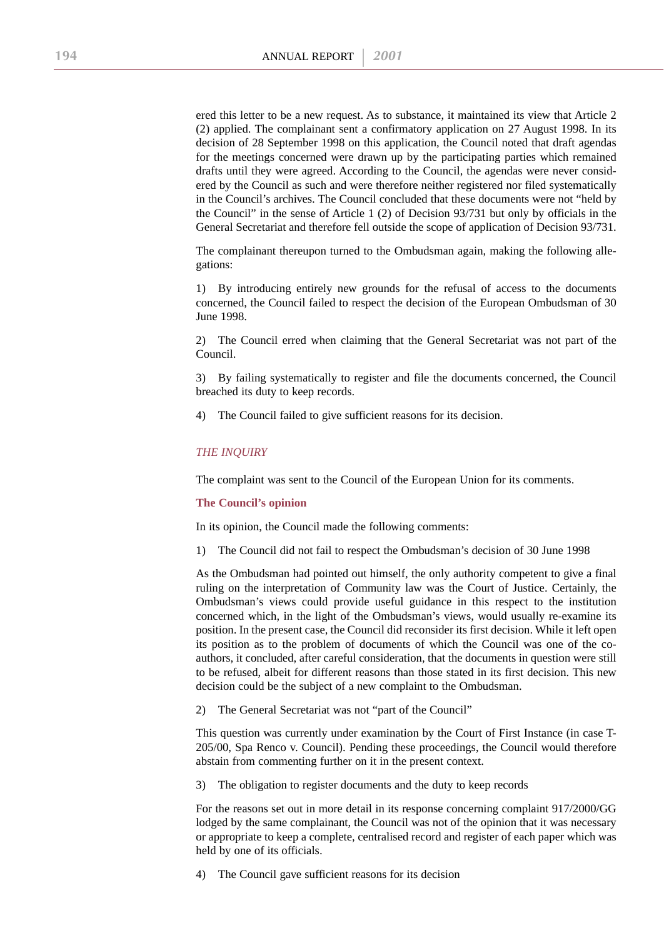ered this letter to be a new request. As to substance, it maintained its view that Article 2 (2) applied. The complainant sent a confirmatory application on 27 August 1998. In its decision of 28 September 1998 on this application, the Council noted that draft agendas for the meetings concerned were drawn up by the participating parties which remained drafts until they were agreed. According to the Council, the agendas were never considered by the Council as such and were therefore neither registered nor filed systematically in the Council's archives. The Council concluded that these documents were not "held by the Council" in the sense of Article 1 (2) of Decision 93/731 but only by officials in the General Secretariat and therefore fell outside the scope of application of Decision 93/731.

The complainant thereupon turned to the Ombudsman again, making the following allegations:

1) By introducing entirely new grounds for the refusal of access to the documents concerned, the Council failed to respect the decision of the European Ombudsman of 30 June 1998.

2) The Council erred when claiming that the General Secretariat was not part of the Council.

3) By failing systematically to register and file the documents concerned, the Council breached its duty to keep records.

4) The Council failed to give sufficient reasons for its decision.

### *THE INQUIRY*

The complaint was sent to the Council of the European Union for its comments.

#### **The Council's opinion**

In its opinion, the Council made the following comments:

1) The Council did not fail to respect the Ombudsman's decision of 30 June 1998

As the Ombudsman had pointed out himself, the only authority competent to give a final ruling on the interpretation of Community law was the Court of Justice. Certainly, the Ombudsman's views could provide useful guidance in this respect to the institution concerned which, in the light of the Ombudsman's views, would usually re-examine its position. In the present case, the Council did reconsider its first decision. While it left open its position as to the problem of documents of which the Council was one of the coauthors, it concluded, after careful consideration, that the documents in question were still to be refused, albeit for different reasons than those stated in its first decision. This new decision could be the subject of a new complaint to the Ombudsman.

2) The General Secretariat was not "part of the Council"

This question was currently under examination by the Court of First Instance (in case T-205/00, Spa Renco v. Council). Pending these proceedings, the Council would therefore abstain from commenting further on it in the present context.

3) The obligation to register documents and the duty to keep records

For the reasons set out in more detail in its response concerning complaint 917/2000/GG lodged by the same complainant, the Council was not of the opinion that it was necessary or appropriate to keep a complete, centralised record and register of each paper which was held by one of its officials.

4) The Council gave sufficient reasons for its decision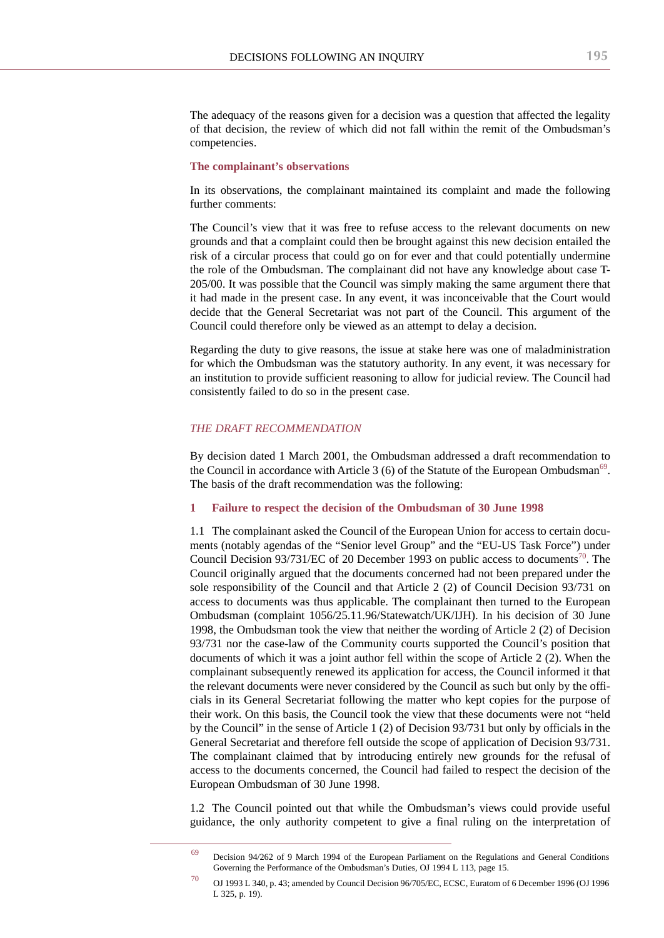The adequacy of the reasons given for a decision was a question that affected the legality of that decision, the review of which did not fall within the remit of the Ombudsman's competencies.

#### **The complainant's observations**

In its observations, the complainant maintained its complaint and made the following further comments:

The Council's view that it was free to refuse access to the relevant documents on new grounds and that a complaint could then be brought against this new decision entailed the risk of a circular process that could go on for ever and that could potentially undermine the role of the Ombudsman. The complainant did not have any knowledge about case T-205/00. It was possible that the Council was simply making the same argument there that it had made in the present case. In any event, it was inconceivable that the Court would decide that the General Secretariat was not part of the Council. This argument of the Council could therefore only be viewed as an attempt to delay a decision.

Regarding the duty to give reasons, the issue at stake here was one of maladministration for which the Ombudsman was the statutory authority. In any event, it was necessary for an institution to provide sufficient reasoning to allow for judicial review. The Council had consistently failed to do so in the present case.

## *THE DRAFT RECOMMENDATION*

By decision dated 1 March 2001, the Ombudsman addressed a draft recommendation to the Council in accordance with Article 3 (6) of the Statute of the European Ombudsman<sup>69</sup>. The basis of the draft recommendation was the following:

#### **1 Failure to respect the decision of the Ombudsman of 30 June 1998**

1.1 The complainant asked the Council of the European Union for access to certain documents (notably agendas of the "Senior level Group" and the "EU-US Task Force") under Council Decision  $93/731/EC$  of 20 December 1993 on public access to documents<sup>70</sup>. The Council originally argued that the documents concerned had not been prepared under the sole responsibility of the Council and that Article 2 (2) of Council Decision 93/731 on access to documents was thus applicable. The complainant then turned to the European Ombudsman (complaint 1056/25.11.96/Statewatch/UK/IJH). In his decision of 30 June 1998, the Ombudsman took the view that neither the wording of Article 2 (2) of Decision 93/731 nor the case-law of the Community courts supported the Council's position that documents of which it was a joint author fell within the scope of Article 2 (2). When the complainant subsequently renewed its application for access, the Council informed it that the relevant documents were never considered by the Council as such but only by the officials in its General Secretariat following the matter who kept copies for the purpose of their work. On this basis, the Council took the view that these documents were not "held by the Council" in the sense of Article 1 (2) of Decision 93/731 but only by officials in the General Secretariat and therefore fell outside the scope of application of Decision 93/731. The complainant claimed that by introducing entirely new grounds for the refusal of access to the documents concerned, the Council had failed to respect the decision of the European Ombudsman of 30 June 1998.

1.2 The Council pointed out that while the Ombudsman's views could provide useful guidance, the only authority competent to give a final ruling on the interpretation of

 $69$  Decision 94/262 of 9 March 1994 of the European Parliament on the Regulations and General Conditions Governing the Performance of the Ombudsman's Duties, OJ 1994 L 113, page 15.

<sup>70</sup> OJ 1993 L 340, p. 43; amended by Council Decision 96/705/EC, ECSC, Euratom of 6 December 1996 (OJ 1996 L 325, p. 19).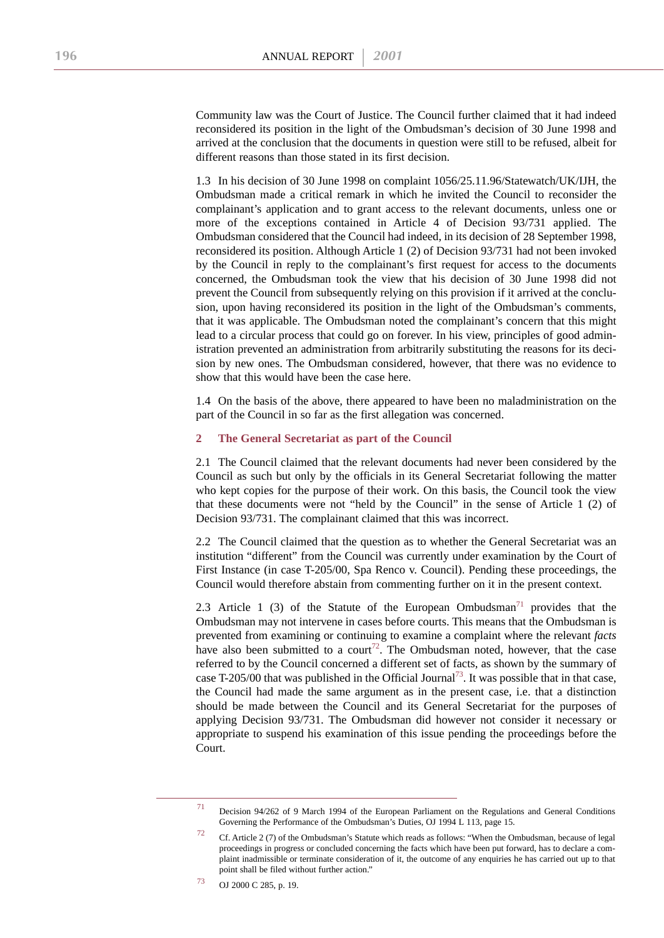Community law was the Court of Justice. The Council further claimed that it had indeed reconsidered its position in the light of the Ombudsman's decision of 30 June 1998 and arrived at the conclusion that the documents in question were still to be refused, albeit for different reasons than those stated in its first decision.

1.3 In his decision of 30 June 1998 on complaint 1056/25.11.96/Statewatch/UK/IJH, the Ombudsman made a critical remark in which he invited the Council to reconsider the complainant's application and to grant access to the relevant documents, unless one or more of the exceptions contained in Article 4 of Decision 93/731 applied. The Ombudsman considered that the Council had indeed, in its decision of 28 September 1998, reconsidered its position. Although Article 1 (2) of Decision 93/731 had not been invoked by the Council in reply to the complainant's first request for access to the documents concerned, the Ombudsman took the view that his decision of 30 June 1998 did not prevent the Council from subsequently relying on this provision if it arrived at the conclusion, upon having reconsidered its position in the light of the Ombudsman's comments, that it was applicable. The Ombudsman noted the complainant's concern that this might lead to a circular process that could go on forever. In his view, principles of good administration prevented an administration from arbitrarily substituting the reasons for its decision by new ones. The Ombudsman considered, however, that there was no evidence to show that this would have been the case here.

1.4 On the basis of the above, there appeared to have been no maladministration on the part of the Council in so far as the first allegation was concerned.

## **2 The General Secretariat as part of the Council**

2.1 The Council claimed that the relevant documents had never been considered by the Council as such but only by the officials in its General Secretariat following the matter who kept copies for the purpose of their work. On this basis, the Council took the view that these documents were not "held by the Council" in the sense of Article 1 (2) of Decision 93/731. The complainant claimed that this was incorrect.

2.2 The Council claimed that the question as to whether the General Secretariat was an institution "different" from the Council was currently under examination by the Court of First Instance (in case T-205/00, Spa Renco v. Council). Pending these proceedings, the Council would therefore abstain from commenting further on it in the present context.

2.3 Article 1 (3) of the Statute of the European Ombudsman<sup>71</sup> provides that the Ombudsman may not intervene in cases before courts. This means that the Ombudsman is prevented from examining or continuing to examine a complaint where the relevant *facts* have also been submitted to a court<sup>72</sup>. The Ombudsman noted, however, that the case referred to by the Council concerned a different set of facts, as shown by the summary of case T-205/00 that was published in the Official Journal<sup>73</sup>. It was possible that in that case, the Council had made the same argument as in the present case, i.e. that a distinction should be made between the Council and its General Secretariat for the purposes of applying Decision 93/731. The Ombudsman did however not consider it necessary or appropriate to suspend his examination of this issue pending the proceedings before the Court.

<sup>71</sup> Decision 94/262 of 9 March 1994 of the European Parliament on the Regulations and General Conditions Governing the Performance of the Ombudsman's Duties, OJ 1994 L 113, page 15.

<sup>72</sup> Cf. Article 2 (7) of the Ombudsman's Statute which reads as follows: "When the Ombudsman, because of legal proceedings in progress or concluded concerning the facts which have been put forward, has to declare a complaint inadmissible or terminate consideration of it, the outcome of any enquiries he has carried out up to that point shall be filed without further action.'

<sup>73</sup> OJ 2000 C 285, p. 19.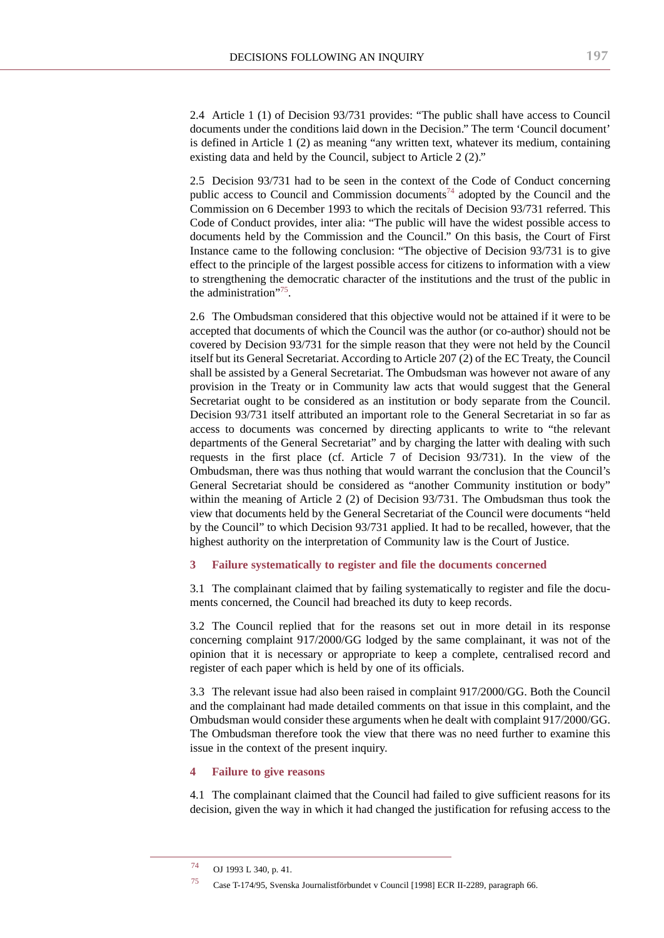2.4 Article 1 (1) of Decision 93/731 provides: "The public shall have access to Council documents under the conditions laid down in the Decision." The term 'Council document' is defined in Article 1 (2) as meaning "any written text, whatever its medium, containing existing data and held by the Council, subject to Article 2 (2)."

2.5 Decision 93/731 had to be seen in the context of the Code of Conduct concerning public access to Council and Commission documents<sup>74</sup> adopted by the Council and the Commission on 6 December 1993 to which the recitals of Decision 93/731 referred. This Code of Conduct provides, inter alia: "The public will have the widest possible access to documents held by the Commission and the Council." On this basis, the Court of First Instance came to the following conclusion: "The objective of Decision 93/731 is to give effect to the principle of the largest possible access for citizens to information with a view to strengthening the democratic character of the institutions and the trust of the public in the administration"<sup>75</sup>.

2.6 The Ombudsman considered that this objective would not be attained if it were to be accepted that documents of which the Council was the author (or co-author) should not be covered by Decision 93/731 for the simple reason that they were not held by the Council itself but its General Secretariat. According to Article 207 (2) of the EC Treaty, the Council shall be assisted by a General Secretariat. The Ombudsman was however not aware of any provision in the Treaty or in Community law acts that would suggest that the General Secretariat ought to be considered as an institution or body separate from the Council. Decision 93/731 itself attributed an important role to the General Secretariat in so far as access to documents was concerned by directing applicants to write to "the relevant departments of the General Secretariat" and by charging the latter with dealing with such requests in the first place (cf. Article 7 of Decision 93/731). In the view of the Ombudsman, there was thus nothing that would warrant the conclusion that the Council's General Secretariat should be considered as "another Community institution or body" within the meaning of Article 2 (2) of Decision 93/731. The Ombudsman thus took the view that documents held by the General Secretariat of the Council were documents "held by the Council" to which Decision 93/731 applied. It had to be recalled, however, that the highest authority on the interpretation of Community law is the Court of Justice.

#### **3 Failure systematically to register and file the documents concerned**

3.1 The complainant claimed that by failing systematically to register and file the documents concerned, the Council had breached its duty to keep records.

3.2 The Council replied that for the reasons set out in more detail in its response concerning complaint 917/2000/GG lodged by the same complainant, it was not of the opinion that it is necessary or appropriate to keep a complete, centralised record and register of each paper which is held by one of its officials.

3.3 The relevant issue had also been raised in complaint 917/2000/GG. Both the Council and the complainant had made detailed comments on that issue in this complaint, and the Ombudsman would consider these arguments when he dealt with complaint 917/2000/GG. The Ombudsman therefore took the view that there was no need further to examine this issue in the context of the present inquiry.

#### **4 Failure to give reasons**

4.1 The complainant claimed that the Council had failed to give sufficient reasons for its decision, given the way in which it had changed the justification for refusing access to the

<sup>74</sup> OJ 1993 L 340, p. 41.

<sup>75</sup> Case T-174/95, Svenska Journalistförbundet v Council [1998] ECR II-2289, paragraph 66.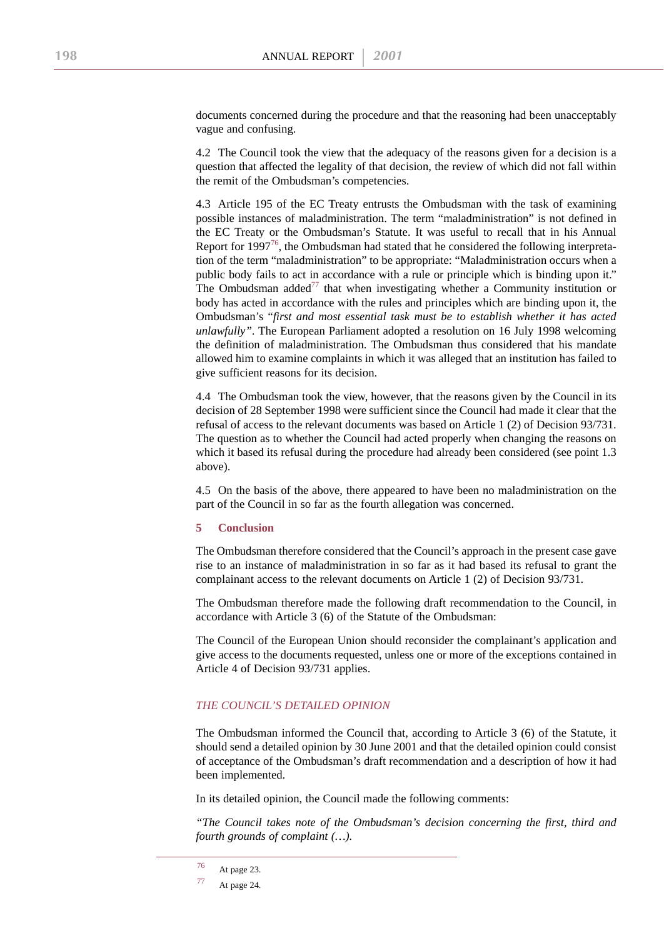documents concerned during the procedure and that the reasoning had been unacceptably vague and confusing.

4.2 The Council took the view that the adequacy of the reasons given for a decision is a question that affected the legality of that decision, the review of which did not fall within the remit of the Ombudsman's competencies.

4.3 Article 195 of the EC Treaty entrusts the Ombudsman with the task of examining possible instances of maladministration. The term "maladministration" is not defined in the EC Treaty or the Ombudsman's Statute. It was useful to recall that in his Annual Report for  $1997^{76}$ , the Ombudsman had stated that he considered the following interpretation of the term "maladministration" to be appropriate: "Maladministration occurs when a public body fails to act in accordance with a rule or principle which is binding upon it." The Ombudsman added<sup>77</sup> that when investigating whether a Community institution or body has acted in accordance with the rules and principles which are binding upon it, the Ombudsman's "*first and most essential task must be to establish whether it has acted unlawfully"*. The European Parliament adopted a resolution on 16 July 1998 welcoming the definition of maladministration. The Ombudsman thus considered that his mandate allowed him to examine complaints in which it was alleged that an institution has failed to give sufficient reasons for its decision.

4.4 The Ombudsman took the view, however, that the reasons given by the Council in its decision of 28 September 1998 were sufficient since the Council had made it clear that the refusal of access to the relevant documents was based on Article 1 (2) of Decision 93/731. The question as to whether the Council had acted properly when changing the reasons on which it based its refusal during the procedure had already been considered (see point 1.3 above).

4.5 On the basis of the above, there appeared to have been no maladministration on the part of the Council in so far as the fourth allegation was concerned.

#### **5 Conclusion**

The Ombudsman therefore considered that the Council's approach in the present case gave rise to an instance of maladministration in so far as it had based its refusal to grant the complainant access to the relevant documents on Article 1 (2) of Decision 93/731.

The Ombudsman therefore made the following draft recommendation to the Council, in accordance with Article 3 (6) of the Statute of the Ombudsman:

The Council of the European Union should reconsider the complainant's application and give access to the documents requested, unless one or more of the exceptions contained in Article 4 of Decision 93/731 applies.

## *THE COUNCIL'S DETAILED OPINION*

The Ombudsman informed the Council that, according to Article 3 (6) of the Statute, it should send a detailed opinion by 30 June 2001 and that the detailed opinion could consist of acceptance of the Ombudsman's draft recommendation and a description of how it had been implemented.

In its detailed opinion, the Council made the following comments:

*"The Council takes note of the Ombudsman's decision concerning the first, third and fourth grounds of complaint (…).*

<sup>76</sup> At page 23.

<sup>77</sup> At page 24.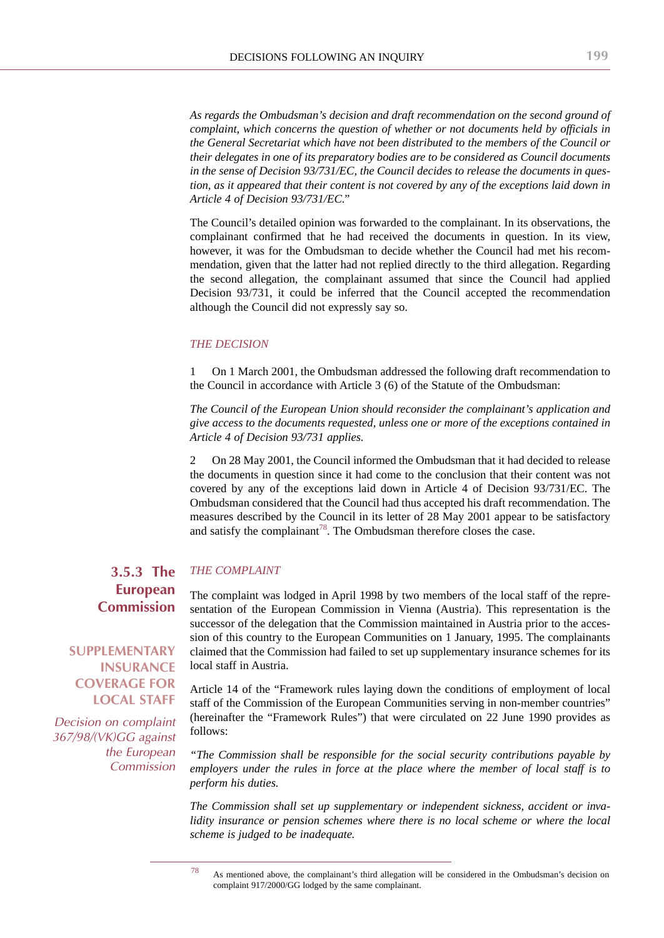*As regards the Ombudsman's decision and draft recommendation on the second ground of complaint, which concerns the question of whether or not documents held by officials in the General Secretariat which have not been distributed to the members of the Council or their delegates in one of its preparatory bodies are to be considered as Council documents in the sense of Decision 93/731/EC, the Council decides to release the documents in question, as it appeared that their content is not covered by any of the exceptions laid down in Article 4 of Decision 93/731/EC."*

The Council's detailed opinion was forwarded to the complainant. In its observations, the complainant confirmed that he had received the documents in question. In its view, however, it was for the Ombudsman to decide whether the Council had met his recommendation, given that the latter had not replied directly to the third allegation. Regarding the second allegation, the complainant assumed that since the Council had applied Decision 93/731, it could be inferred that the Council accepted the recommendation although the Council did not expressly say so.

## *THE DECISION*

1 On 1 March 2001, the Ombudsman addressed the following draft recommendation to the Council in accordance with Article 3 (6) of the Statute of the Ombudsman:

*The Council of the European Union should reconsider the complainant's application and give access to the documents requested, unless one or more of the exceptions contained in Article 4 of Decision 93/731 applies.*

2 On 28 May 2001, the Council informed the Ombudsman that it had decided to release the documents in question since it had come to the conclusion that their content was not covered by any of the exceptions laid down in Article 4 of Decision 93/731/EC. The Ombudsman considered that the Council had thus accepted his draft recommendation. The measures described by the Council in its letter of 28 May 2001 appear to be satisfactory and satisfy the complainant<sup>78</sup>. The Ombudsman therefore closes the case.

### *THE COMPLAINT* **3.5.3 The European Commission**

# **SUPPLEMENTARY INSURANCE COVERAGE FOR LOCAL STAFF**

*Decision on complaint 367/98/(VK)GG against the European Commission* The complaint was lodged in April 1998 by two members of the local staff of the representation of the European Commission in Vienna (Austria). This representation is the successor of the delegation that the Commission maintained in Austria prior to the accession of this country to the European Communities on 1 January, 1995. The complainants claimed that the Commission had failed to set up supplementary insurance schemes for its local staff in Austria.

Article 14 of the "Framework rules laying down the conditions of employment of local staff of the Commission of the European Communities serving in non-member countries" (hereinafter the "Framework Rules") that were circulated on 22 June 1990 provides as follows:

*"The Commission shall be responsible for the social security contributions payable by employers under the rules in force at the place where the member of local staff is to perform his duties.*

*The Commission shall set up supplementary or independent sickness, accident or invalidity insurance or pension schemes where there is no local scheme or where the local scheme is judged to be inadequate.*

<sup>78</sup> As mentioned above, the complainant's third allegation will be considered in the Ombudsman's decision on complaint 917/2000/GG lodged by the same complainant.